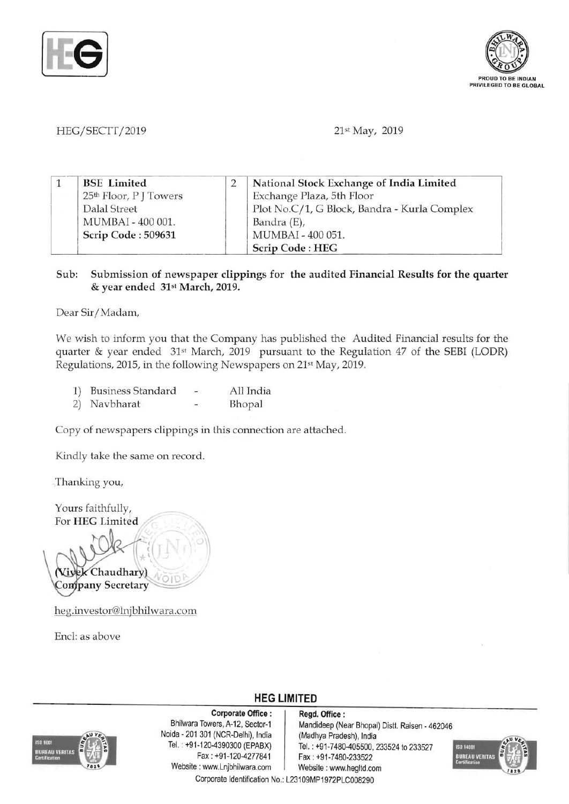



HEG/SECTT/2019 21st May, 2019

| 1110/01011/2012 |                                                                                                           |   |                                                                                                                                                                              |  |  |  |  |
|-----------------|-----------------------------------------------------------------------------------------------------------|---|------------------------------------------------------------------------------------------------------------------------------------------------------------------------------|--|--|--|--|
|                 |                                                                                                           |   |                                                                                                                                                                              |  |  |  |  |
|                 | <b>BSE</b> Limited<br>$25th$ Floor, P J Towers<br>Dalal Street<br>MUMBAI - 400 001.<br>Scrip Code: 509631 | 2 | National Stock Exchange of India Limited<br>Exchange Plaza, 5th Floor<br>Plot No.C/1, G Block, Bandra - Kurla Complex<br>Bandra (E),<br>MUMBAI - 400 051.<br>Scrip Code: HEG |  |  |  |  |

## Sub: Submission of newspaper clippings for the audited Financial Results for the quarter & year ended 31st March, 2019.

Dear Sir/Madam,

We wish to inform you that the Company has published the Audited Financial results for the quarter & year ended 31st March, 2019 pursuant to the Regulation 47 of the SEBI (LODR) Regulations, 2015, in the following Newspapers on 21st May, 2019.

| 1)<br><b>Business Standard</b> | All India |  |
|--------------------------------|-----------|--|
|--------------------------------|-----------|--|

2) Navbharat - Bhopal

Copy of newspapers clippings in this connection are attached.

Kindly take the same on record.

"Thanking you,

Yours faithfully, For HEG Limited <sup>~</sup>) Chaudhary) νĭ Company Secretary

heg.investor@lnjbhilwara.com

Encl: as above



Corporate Office: | Regd. Office: Noida - 201 301 (NCR-Delhi), India (Madhya Pradesh), India<br>Tel.: +91-120-4390300 (EPABX) Tel.: +91-7480-405500, 2 Fax: +91-120-4277841 Fax: +91-7480-233522 Website: www.Lnjbhilwara.com | Website : www.hegltd.com

Bhilwara Towers, A-12, Sector-1 Mandideep (Near Bhopal) Distt. Raisen - 462046 Tel.: +91-7480-405500, 233524 to 233527



Corporate Identification No.: L23109MP1972PLC008290

**HEG LIMITED**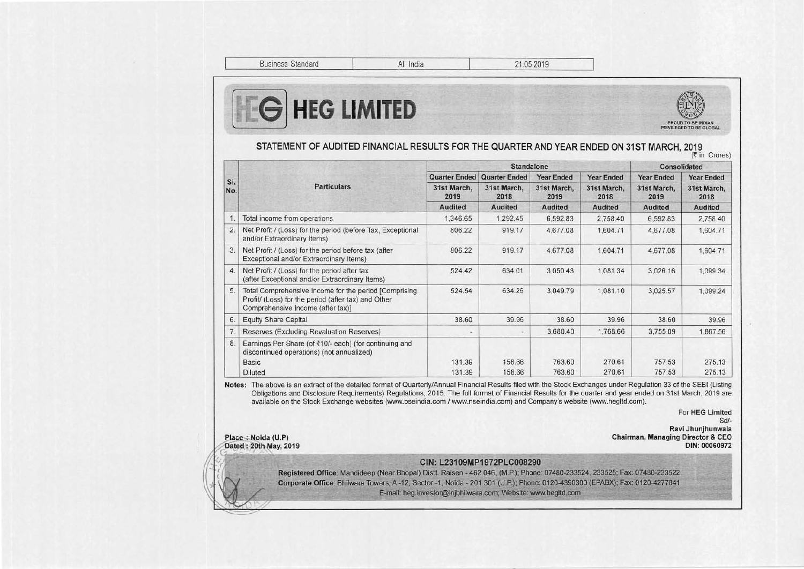# ~~ -~-- . ,, '-- ----------\_. -~--- <sup>~</sup> **,**  $\bullet$  **II definition is a set of the set of the set of the set of the set of the set of the set of the set of the set of the set of the set of the set of the set of the set of the set of the set of the set of the set of t**



'-

# STATEMENT OF AUDITED FINANCIAL RESULTS FOR THE QUARTER AND YEAR ENDED ON 31ST MARCH, 2019

| Si.<br>No. | <b>Particulars</b>                                                                                                                                 |                                       | <b>Standalone</b>              | <b>Consolidated</b>                                        |                                                     |                                                            |                                                            |
|------------|----------------------------------------------------------------------------------------------------------------------------------------------------|---------------------------------------|--------------------------------|------------------------------------------------------------|-----------------------------------------------------|------------------------------------------------------------|------------------------------------------------------------|
|            |                                                                                                                                                    | <b>Quarter Ended</b>                  | <b>Quarter Ended</b>           | <b>Year Ended</b><br>31st March,<br>2019<br><b>Audited</b> | <b>Year Ended</b><br>31st March.<br>2018<br>Audited | <b>Year Ended</b><br>31st March.<br>2019<br><b>Audited</b> | <b>Year Ended</b><br>31st March.<br>2018<br><b>Audited</b> |
|            |                                                                                                                                                    | 31st March.<br>2019<br><b>Audited</b> | 31st March.<br>2018<br>Audited |                                                            |                                                     |                                                            |                                                            |
|            |                                                                                                                                                    |                                       |                                |                                                            |                                                     |                                                            |                                                            |
| 2.         | Net Profit / (Loss) for the period (before Tax, Exceptional<br>and/or Extraordinary Items)                                                         | 806.22                                | 919.17                         | 4,677.08                                                   | 1,604.71                                            | 4,677.08                                                   | 1,604.71                                                   |
| 3.         | Net Profit / (Loss) for the period before tax (after<br>Exceptional and/or Extraordinary Items)                                                    | 806.22                                | 919.17                         | 4,677.08                                                   | 1,604.71                                            | 4,677.08                                                   | 1,604.71                                                   |
| 4.         | Net Profit / (Loss) for the period after tax<br>(after Exceptional and/or Extraordinary Items)                                                     | 524.42                                | 634.01                         | 3,050.43                                                   | 1,081.34                                            | 3,026.16                                                   | 1,099.34                                                   |
| 5.         | Total Comprehensive Income for the period [Comprising]<br>Profit/ (Loss) for the period (after tax) and Other<br>Comprehensive Income (after tax)] | 524.54                                | 634.26                         | 3,049.79                                                   | 1,081.10                                            | 3,025.57                                                   | 1,099.24                                                   |
| 6.         | <b>Equity Share Capital</b>                                                                                                                        | 38.60                                 | 39.96                          | 38.60                                                      | 39.96                                               | 38.60                                                      | 39.96                                                      |
| 7.         | Reserves (Excluding Revaluation Reserves)                                                                                                          | $\overline{\phantom{a}}$              | $\overline{a}$                 | 3,680.40                                                   | 1,768.66                                            | 3,755.09                                                   | 1,867.56                                                   |
| 8.         | Earnings Per Share (of ₹10/- each) (for continuing and<br>discontinued operations) (not annualized)                                                |                                       |                                |                                                            |                                                     |                                                            |                                                            |
|            | Basic                                                                                                                                              | 131.39                                | 158.66                         | 763.60                                                     | 270.61                                              | 757.53                                                     | 275.13                                                     |
|            | Diluted                                                                                                                                            | 131.39                                | 158.66                         | 763.60                                                     | 270.61                                              | 757.53                                                     | 275.13                                                     |

Notes: The above is an extract of the detailed format of Quarterly/Annual Financial Results filed with the Stock Exchanges under Regulation 33 of the SEBI (Listing Obligations and Disclosure Requirements) Regulations, 2015. The full format of Financial Results for the quarter and year ended on 31st March, 2019 are available on the Stock Exchange websites (www.bseindia.com / www.nseindia.com) and Company's website (www.hegltd.com).

For HEG Limited

Sd/-

 $\overline{\mathbf{N}^{\mathbf{A}}$ 

Ravi Jhunjhunwala J;!a~\_' ~da (U.P) Chairman, Managing Director & CEO

~~ DIN: 00060972 .'i 2P ay, 20~ , ' **.----** ~r *'*  -" , CIN: L23109MP1972PLCOO8290 <sup>~</sup>( Ravi Jhunjhunwala<br>
Dated: 20th May, 2019<br>
Div: 00060972<br>
Circomporate Office: Mandideep (Near Bhopal) Dist. L23109MP1972PLC008290<br>
Circomporate Office: Mandideep (Near Bhopal) Dist. Raisen - 462 046, (M.P.); Phone: 07480-2 E-mail: heg.investor@lnjbhilwara.com; Website: www.hegltd.com